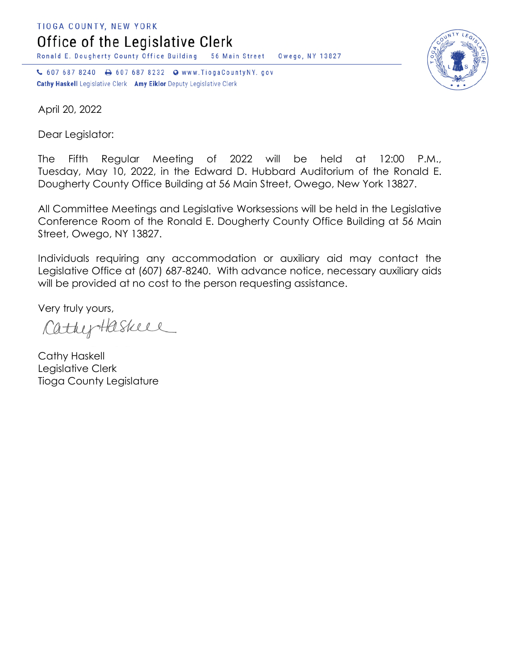TIOGA COUNTY, NEW YORK

Office of the Legislative Clerk

Ronald E. Dougherty County Office Building 56 Main Street Owego, NY 13827

↓ 607 687 8240 → 607 687 8232 → www.TiogaCountyNY.gov Cathy Haskell Legislative Clerk Amy Eiklor Deputy Legislative Clerk



April 20, 2022

Dear Legislator:

The Fifth Regular Meeting of 2022 will be held at 12:00 P.M., Tuesday, May 10, 2022, in the Edward D. Hubbard Auditorium of the Ronald E. Dougherty County Office Building at 56 Main Street, Owego, New York 13827.

All Committee Meetings and Legislative Worksessions will be held in the Legislative Conference Room of the Ronald E. Dougherty County Office Building at 56 Main Street, Owego, NY 13827.

Individuals requiring any accommodation or auxiliary aid may contact the Legislative Office at (607) 687-8240. With advance notice, necessary auxiliary aids will be provided at no cost to the person requesting assistance.

Very truly yours,

CathyHaskell

Cathy Haskell Legislative Clerk Tioga County Legislature